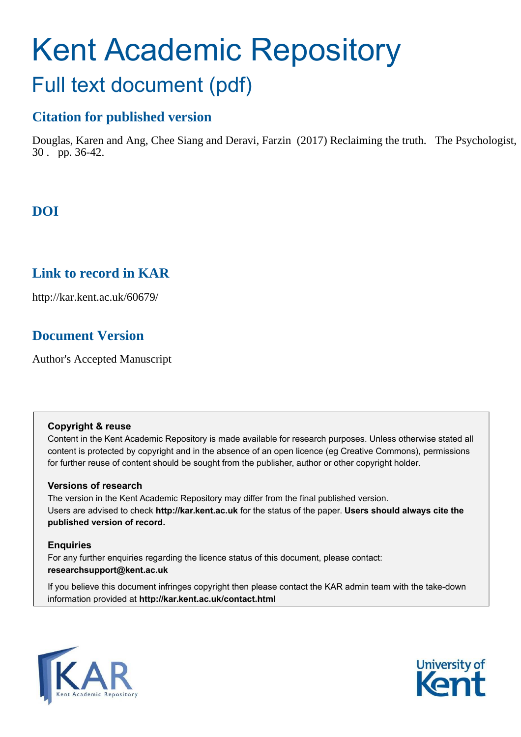# Kent Academic Repository Full text document (pdf)

## **Citation for published version**

Douglas, Karen and Ang, Chee Siang and Deravi, Farzin (2017) Reclaiming the truth. The Psychologist, 30 . pp. 36-42.

## **DOI**

### **Link to record in KAR**

http://kar.kent.ac.uk/60679/

## **Document Version**

Author's Accepted Manuscript

#### **Copyright & reuse**

Content in the Kent Academic Repository is made available for research purposes. Unless otherwise stated all content is protected by copyright and in the absence of an open licence (eg Creative Commons), permissions for further reuse of content should be sought from the publisher, author or other copyright holder.

#### **Versions of research**

The version in the Kent Academic Repository may differ from the final published version. Users are advised to check **http://kar.kent.ac.uk** for the status of the paper. **Users should always cite the published version of record.**

#### **Enquiries**

For any further enquiries regarding the licence status of this document, please contact: **researchsupport@kent.ac.uk**

If you believe this document infringes copyright then please contact the KAR admin team with the take-down information provided at **http://kar.kent.ac.uk/contact.html**



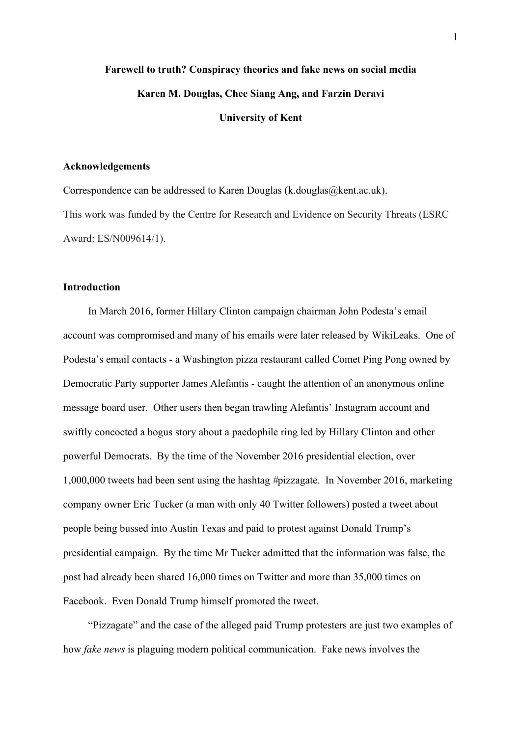## **Farewell to truth? Conspiracy theories and fake news on social media Karen M. Douglas, Chee Siang Ang, and Farzin Deravi University of Kent**

#### **Acknowledgements**

Correspondence can be addressed to Karen Douglas (k.douglas@kent.ac.uk). This work was funded by the Centre for Research and Evidence on Security Threats (ESRC Award: ES/N009614/1).

#### **Introduction**

In March 2016, former Hillary Clinton campaign chairman John Podesta's email account was compromised and many of his emails were later released by WikiLeaks. One of Podesta's email contacts - a Washington pizza restaurant called Comet Ping Pong owned by Democratic Party supporter James Alefantis - caught the attention of an anonymous online message board user. Other users then began trawling Alefantis' Instagram account and swiftly concocted a bogus story about a paedophile ring led by Hillary Clinton and other powerful Democrats. By the time of the November 2016 presidential election, over 1,000,000 tweets had been sent using the hashtag *#*pizzagate. In November 2016, marketing company owner Eric Tucker (a man with only 40 Twitter followers) posted a tweet about people being bussed into Austin Texas and paid to protest against Donald Trump's presidential campaign. By the time Mr Tucker admitted that the information was false, the post had already been shared 16,000 times on Twitter and more than 35,000 times on Facebook. Even Donald Trump himself promoted the tweet.

"Pizzagate" and the case of the alleged paid Trump protesters are just two examples of how *fake news* is plaguing modern political communication. Fake news involves the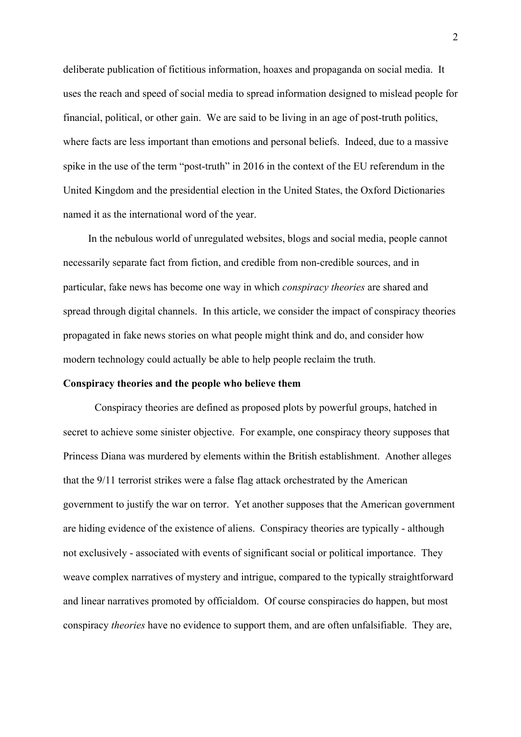deliberate publication of fictitious information, hoaxes and propaganda on social media. It uses the reach and speed of social media to spread information designed to mislead people for financial, political, or other gain. We are said to be living in an age of post-truth politics, where facts are less important than emotions and personal beliefs. Indeed, due to a massive spike in the use of the term "post-truth" in 2016 in the context of the EU referendum in the United Kingdom and the presidential election in the United States, the Oxford Dictionaries named it as the international word of the year.

In the nebulous world of unregulated websites, blogs and social media, people cannot necessarily separate fact from fiction, and credible from non-credible sources, and in particular, fake news has become one way in which *conspiracy theories* are shared and spread through digital channels. In this article, we consider the impact of conspiracy theories propagated in fake news stories on what people might think and do, and consider how modern technology could actually be able to help people reclaim the truth.

#### **Conspiracy theories and the people who believe them**

Conspiracy theories are defined as proposed plots by powerful groups, hatched in secret to achieve some sinister objective. For example, one conspiracy theory supposes that Princess Diana was murdered by elements within the British establishment. Another alleges that the 9/11 terrorist strikes were a false flag attack orchestrated by the American government to justify the war on terror. Yet another supposes that the American government are hiding evidence of the existence of aliens. Conspiracy theories are typically - although not exclusively - associated with events of significant social or political importance. They weave complex narratives of mystery and intrigue, compared to the typically straightforward and linear narratives promoted by officialdom. Of course conspiracies do happen, but most conspiracy *theories* have no evidence to support them, and are often unfalsifiable. They are,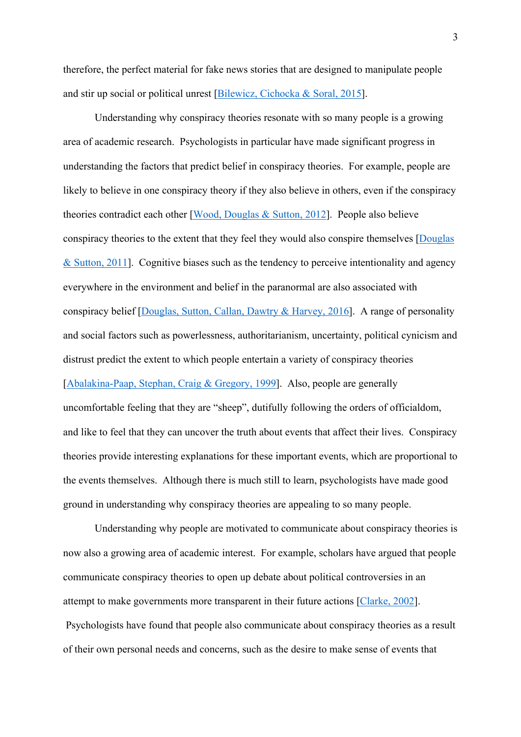therefore, the perfect material for fake news stories that are designed to manipulate people and stir up social or political unrest [Bilewicz, Cichocka & Soral, 2015].

Understanding why conspiracy theories resonate with so many people is a growing area of academic research. Psychologists in particular have made significant progress in understanding the factors that predict belief in conspiracy theories. For example, people are likely to believe in one conspiracy theory if they also believe in others, even if the conspiracy theories contradict each other [Wood, Douglas & Sutton, 2012]. People also believe conspiracy theories to the extent that they feel they would also conspire themselves [Douglas & Sutton, 2011]. Cognitive biases such as the tendency to perceive intentionality and agency everywhere in the environment and belief in the paranormal are also associated with conspiracy belief [Douglas, Sutton, Callan, Dawtry & Harvey, 2016]. A range of personality and social factors such as powerlessness, authoritarianism, uncertainty, political cynicism and distrust predict the extent to which people entertain a variety of conspiracy theories [Abalakina-Paap, Stephan, Craig & Gregory, 1999]. Also, people are generally uncomfortable feeling that they are "sheep", dutifully following the orders of officialdom, and like to feel that they can uncover the truth about events that affect their lives. Conspiracy theories provide interesting explanations for these important events, which are proportional to the events themselves. Although there is much still to learn, psychologists have made good ground in understanding why conspiracy theories are appealing to so many people.

Understanding why people are motivated to communicate about conspiracy theories is now also a growing area of academic interest. For example, scholars have argued that people communicate conspiracy theories to open up debate about political controversies in an attempt to make governments more transparent in their future actions [Clarke, 2002]. Psychologists have found that people also communicate about conspiracy theories as a result of their own personal needs and concerns, such as the desire to make sense of events that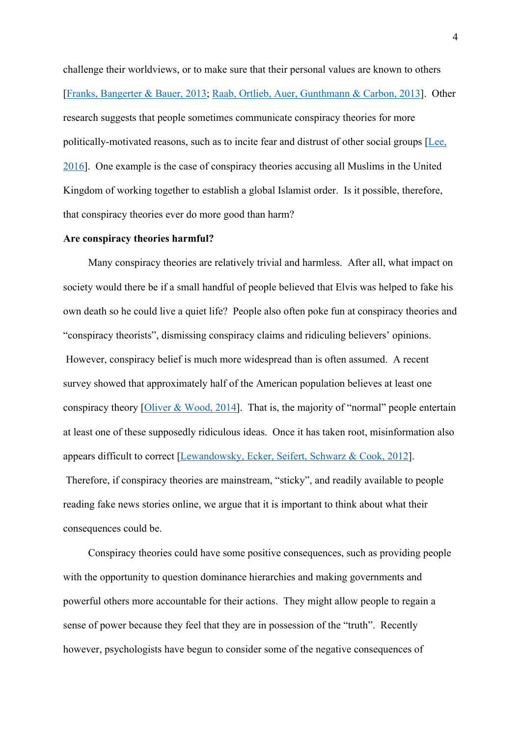challenge their worldviews, or to make sure that their personal values are known to others [Franks, Bangerter & Bauer, 2013; Raab, Ortlieb, Auer, Gunthmann & Carbon, 2013]. Other research suggests that people sometimes communicate conspiracy theories for more politically-motivated reasons, such as to incite fear and distrust of other social groups [Lee, 2016]. One example is the case of conspiracy theories accusing all Muslims in the United Kingdom of working together to establish a global Islamist order. Is it possible, therefore, that conspiracy theories ever do more good than harm?

#### **Are conspiracy theories harmful?**

Many conspiracy theories are relatively trivial and harmless. After all, what impact on society would there be if a small handful of people believed that Elvis was helped to fake his own death so he could live a quiet life? People also often poke fun at conspiracy theories and "conspiracy theorists", dismissing conspiracy claims and ridiculing believers' opinions. However, conspiracy belief is much more widespread than is often assumed. A recent survey showed that approximately half of the American population believes at least one conspiracy theory [Oliver & Wood, 2014]. That is, the majority of "normal" people entertain at least one of these supposedly ridiculous ideas. Once it has taken root, misinformation also appears difficult to correct [Lewandowsky, Ecker, Seifert, Schwarz & Cook, 2012]. Therefore, if conspiracy theories are mainstream, "sticky", and readily available to people

reading fake news stories online, we argue that it is important to think about what their consequences could be.

Conspiracy theories could have some positive consequences, such as providing people with the opportunity to question dominance hierarchies and making governments and powerful others more accountable for their actions. They might allow people to regain a sense of power because they feel that they are in possession of the "truth". Recently however, psychologists have begun to consider some of the negative consequences of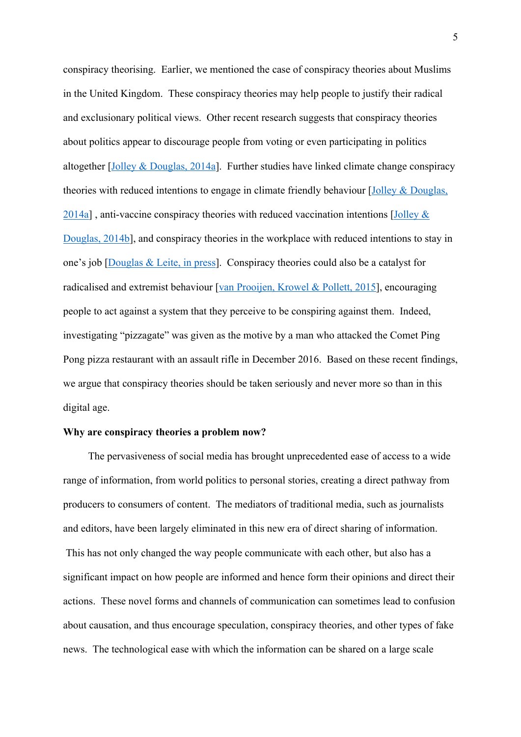conspiracy theorising. Earlier, we mentioned the case of conspiracy theories about Muslims in the United Kingdom. These conspiracy theories may help people to justify their radical and exclusionary political views. Other recent research suggests that conspiracy theories about politics appear to discourage people from voting or even participating in politics altogether [Jolley & Douglas, 2014a]. Further studies have linked climate change conspiracy theories with reduced intentions to engage in climate friendly behaviour [Jolley & Douglas,  $2014a$ ], anti-vaccine conspiracy theories with reduced vaccination intentions [Jolley  $\&$ Douglas, 2014b], and conspiracy theories in the workplace with reduced intentions to stay in one's job [Douglas & Leite, in press]. Conspiracy theories could also be a catalyst for radicalised and extremist behaviour [van Prooijen, Krowel & Pollett, 2015], encouraging people to act against a system that they perceive to be conspiring against them. Indeed, investigating "pizzagate" was given as the motive by a man who attacked the Comet Ping Pong pizza restaurant with an assault rifle in December 2016. Based on these recent findings, we argue that conspiracy theories should be taken seriously and never more so than in this digital age.

#### **Why are conspiracy theories a problem now?**

The pervasiveness of social media has brought unprecedented ease of access to a wide range of information, from world politics to personal stories, creating a direct pathway from producers to consumers of content. The mediators of traditional media, such as journalists and editors, have been largely eliminated in this new era of direct sharing of information. This has not only changed the way people communicate with each other, but also has a significant impact on how people are informed and hence form their opinions and direct their actions. These novel forms and channels of communication can sometimes lead to confusion about causation, and thus encourage speculation, conspiracy theories, and other types of fake news. The technological ease with which the information can be shared on a large scale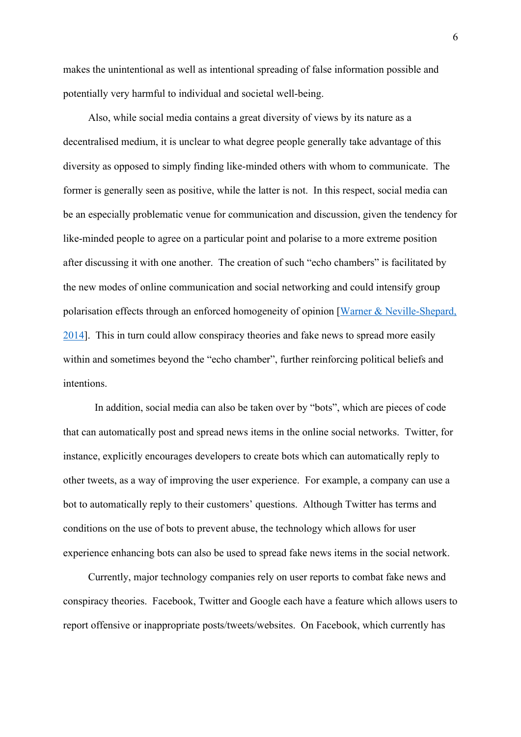makes the unintentional as well as intentional spreading of false information possible and potentially very harmful to individual and societal well-being.

Also, while social media contains a great diversity of views by its nature as a decentralised medium, it is unclear to what degree people generally take advantage of this diversity as opposed to simply finding like-minded others with whom to communicate. The former is generally seen as positive, while the latter is not. In this respect, social media can be an especially problematic venue for communication and discussion, given the tendency for like-minded people to agree on a particular point and polarise to a more extreme position after discussing it with one another. The creation of such "echo chambers" is facilitated by the new modes of online communication and social networking and could intensify group polarisation effects through an enforced homogeneity of opinion [Warner & Neville-Shepard, 2014]. This in turn could allow conspiracy theories and fake news to spread more easily within and sometimes beyond the "echo chamber", further reinforcing political beliefs and intentions.

 In addition, social media can also be taken over by "bots", which are pieces of code that can automatically post and spread news items in the online social networks. Twitter, for instance, explicitly encourages developers to create bots which can automatically reply to other tweets, as a way of improving the user experience. For example, a company can use a bot to automatically reply to their customers' questions. Although Twitter has terms and conditions on the use of bots to prevent abuse, the technology which allows for user experience enhancing bots can also be used to spread fake news items in the social network.

Currently, major technology companies rely on user reports to combat fake news and conspiracy theories. Facebook, Twitter and Google each have a feature which allows users to report offensive or inappropriate posts/tweets/websites. On Facebook, which currently has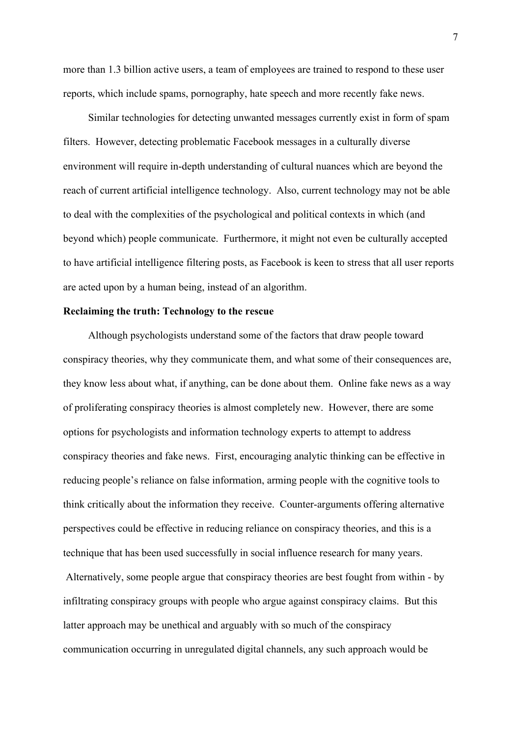more than 1.3 billion active users, a team of employees are trained to respond to these user reports, which include spams, pornography, hate speech and more recently fake news.

Similar technologies for detecting unwanted messages currently exist in form of spam filters. However, detecting problematic Facebook messages in a culturally diverse environment will require in-depth understanding of cultural nuances which are beyond the reach of current artificial intelligence technology. Also, current technology may not be able to deal with the complexities of the psychological and political contexts in which (and beyond which) people communicate. Furthermore, it might not even be culturally accepted to have artificial intelligence filtering posts, as Facebook is keen to stress that all user reports are acted upon by a human being, instead of an algorithm.

#### **Reclaiming the truth: Technology to the rescue**

Although psychologists understand some of the factors that draw people toward conspiracy theories, why they communicate them, and what some of their consequences are, they know less about what, if anything, can be done about them. Online fake news as a way of proliferating conspiracy theories is almost completely new. However, there are some options for psychologists and information technology experts to attempt to address conspiracy theories and fake news. First, encouraging analytic thinking can be effective in reducing people's reliance on false information, arming people with the cognitive tools to think critically about the information they receive. Counter-arguments offering alternative perspectives could be effective in reducing reliance on conspiracy theories, and this is a technique that has been used successfully in social influence research for many years.

 Alternatively, some people argue that conspiracy theories are best fought from within - by infiltrating conspiracy groups with people who argue against conspiracy claims. But this latter approach may be unethical and arguably with so much of the conspiracy communication occurring in unregulated digital channels, any such approach would be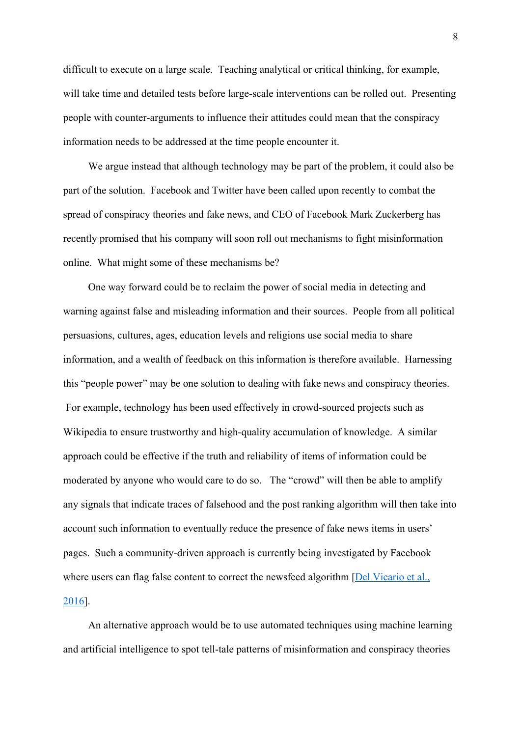difficult to execute on a large scale. Teaching analytical or critical thinking, for example, will take time and detailed tests before large-scale interventions can be rolled out. Presenting people with counter-arguments to influence their attitudes could mean that the conspiracy information needs to be addressed at the time people encounter it.

We argue instead that although technology may be part of the problem, it could also be part of the solution. Facebook and Twitter have been called upon recently to combat the spread of conspiracy theories and fake news, and CEO of Facebook Mark Zuckerberg has recently promised that his company will soon roll out mechanisms to fight misinformation online. What might some of these mechanisms be?

One way forward could be to reclaim the power of social media in detecting and warning against false and misleading information and their sources. People from all political persuasions, cultures, ages, education levels and religions use social media to share information, and a wealth of feedback on this information is therefore available. Harnessing this "people power" may be one solution to dealing with fake news and conspiracy theories. For example, technology has been used effectively in crowd-sourced projects such as Wikipedia to ensure trustworthy and high-quality accumulation of knowledge. A similar approach could be effective if the truth and reliability of items of information could be moderated by anyone who would care to do so. The "crowd" will then be able to amplify any signals that indicate traces of falsehood and the post ranking algorithm will then take into account such information to eventually reduce the presence of fake news items in users' pages. Such a community-driven approach is currently being investigated by Facebook where users can flag false content to correct the newsfeed algorithm [Del Vicario et al., 2016].

An alternative approach would be to use automated techniques using machine learning and artificial intelligence to spot tell-tale patterns of misinformation and conspiracy theories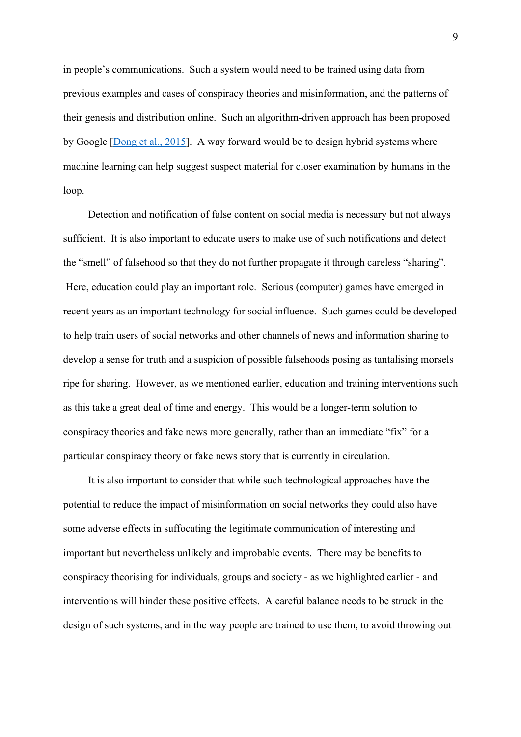in people's communications. Such a system would need to be trained using data from previous examples and cases of conspiracy theories and misinformation, and the patterns of their genesis and distribution online. Such an algorithm-driven approach has been proposed by Google [Dong et al., 2015]. A way forward would be to design hybrid systems where machine learning can help suggest suspect material for closer examination by humans in the loop.

Detection and notification of false content on social media is necessary but not always sufficient. It is also important to educate users to make use of such notifications and detect the "smell" of falsehood so that they do not further propagate it through careless "sharing". Here, education could play an important role. Serious (computer) games have emerged in recent years as an important technology for social influence. Such games could be developed to help train users of social networks and other channels of news and information sharing to develop a sense for truth and a suspicion of possible falsehoods posing as tantalising morsels ripe for sharing. However, as we mentioned earlier, education and training interventions such as this take a great deal of time and energy. This would be a longer-term solution to conspiracy theories and fake news more generally, rather than an immediate "fix" for a particular conspiracy theory or fake news story that is currently in circulation.

It is also important to consider that while such technological approaches have the potential to reduce the impact of misinformation on social networks they could also have some adverse effects in suffocating the legitimate communication of interesting and important but nevertheless unlikely and improbable events. There may be benefits to conspiracy theorising for individuals, groups and society - as we highlighted earlier - and interventions will hinder these positive effects. A careful balance needs to be struck in the design of such systems, and in the way people are trained to use them, to avoid throwing out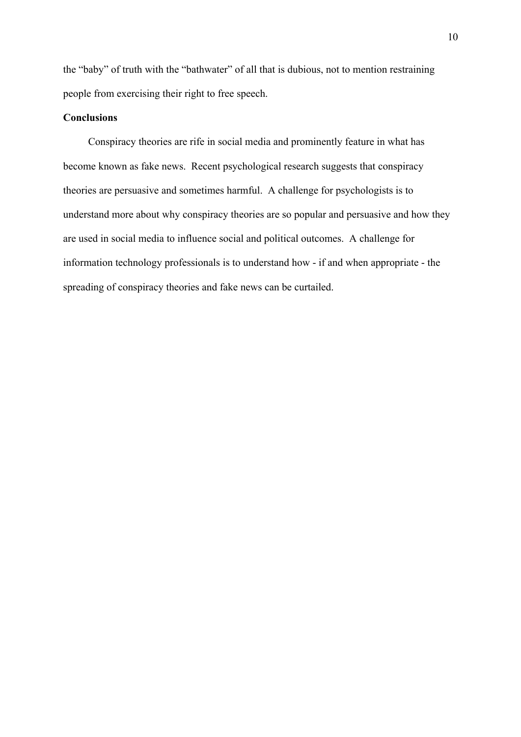the "baby" of truth with the "bathwater" of all that is dubious, not to mention restraining people from exercising their right to free speech.

#### **Conclusions**

Conspiracy theories are rife in social media and prominently feature in what has become known as fake news. Recent psychological research suggests that conspiracy theories are persuasive and sometimes harmful. A challenge for psychologists is to understand more about why conspiracy theories are so popular and persuasive and how they are used in social media to influence social and political outcomes. A challenge for information technology professionals is to understand how - if and when appropriate - the spreading of conspiracy theories and fake news can be curtailed.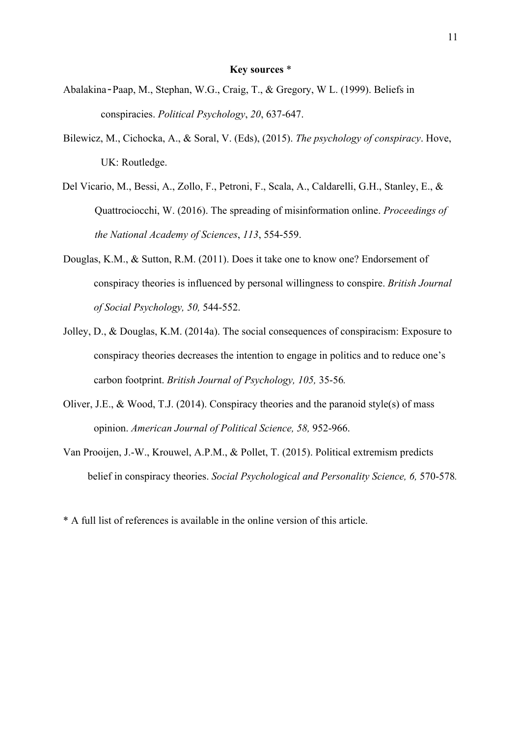#### **Key sources** \*

- Abalakina‐Paap, M., Stephan, W.G., Craig, T., & Gregory, W L. (1999). Beliefs in conspiracies. *Political Psychology*, *20*, 637-647.
- Bilewicz, M., Cichocka, A., & Soral, V. (Eds), (2015). *The psychology of conspiracy*. Hove, UK: Routledge.
- Del Vicario, M., Bessi, A., Zollo, F., Petroni, F., Scala, A., Caldarelli, G.H., Stanley, E., & Quattrociocchi, W. (2016). The spreading of misinformation online. *Proceedings of the National Academy of Sciences*, *113*, 554-559.
- Douglas, K.M., & Sutton, R.M. (2011). Does it take one to know one? Endorsement of conspiracy theories is influenced by personal willingness to conspire. *British Journal of Social Psychology, 50,* 544-552.
- Jolley, D., & Douglas, K.M. (2014a). The social consequences of conspiracism: Exposure to conspiracy theories decreases the intention to engage in politics and to reduce one's carbon footprint. *British Journal of Psychology, 105,* 35-56*.*
- Oliver, J.E., & Wood, T.J. (2014). Conspiracy theories and the paranoid style(s) of mass opinion. *American Journal of Political Science, 58,* 952-966.
- Van Prooijen, J.-W., Krouwel, A.P.M., & Pollet, T. (2015). Political extremism predicts belief in conspiracy theories. *Social Psychological and Personality Science, 6,* 570-578*.*
- \* A full list of references is available in the online version of this article.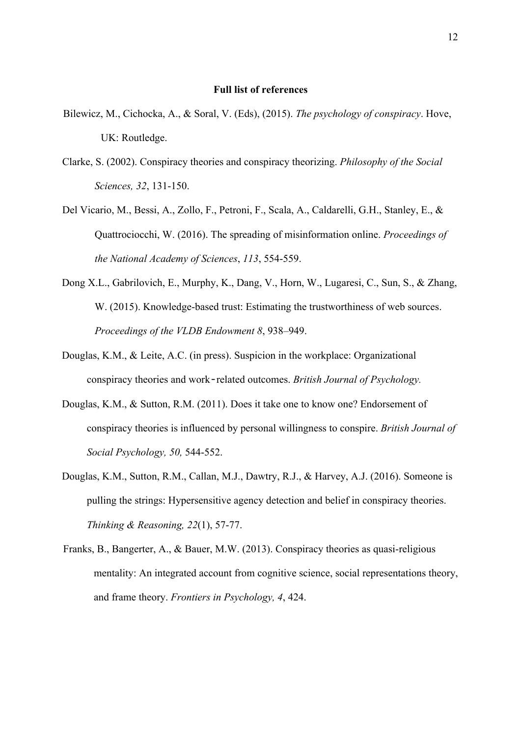#### **Full list of references**

- Bilewicz, M., Cichocka, A., & Soral, V. (Eds), (2015). *The psychology of conspiracy*. Hove, UK: Routledge.
- Clarke, S. (2002). Conspiracy theories and conspiracy theorizing. *Philosophy of the Social Sciences, 32*, 131-150.
- Del Vicario, M., Bessi, A., Zollo, F., Petroni, F., Scala, A., Caldarelli, G.H., Stanley, E., & Quattrociocchi, W. (2016). The spreading of misinformation online. *Proceedings of the National Academy of Sciences*, *113*, 554-559.
- Dong X.L., Gabrilovich, E., Murphy, K., Dang, V., Horn, W., Lugaresi, C., Sun, S., & Zhang, W. (2015). Knowledge-based trust: Estimating the trustworthiness of web sources. *Proceedings of the VLDB Endowment 8*, 938–949.
- Douglas, K.M., & Leite, A.C. (in press). Suspicion in the workplace: Organizational conspiracy theories and work‐related outcomes. *British Journal of Psychology.*
- Douglas, K.M., & Sutton, R.M. (2011). Does it take one to know one? Endorsement of conspiracy theories is influenced by personal willingness to conspire. *British Journal of Social Psychology, 50,* 544-552.
- Douglas, K.M., Sutton, R.M., Callan, M.J., Dawtry, R.J., & Harvey, A.J. (2016). Someone is pulling the strings: Hypersensitive agency detection and belief in conspiracy theories. *Thinking & Reasoning, 22*(1), 57-77.
- Franks, B., Bangerter, A., & Bauer, M.W. (2013). Conspiracy theories as quasi-religious mentality: An integrated account from cognitive science, social representations theory, and frame theory. *Frontiers in Psychology, 4*, 424.